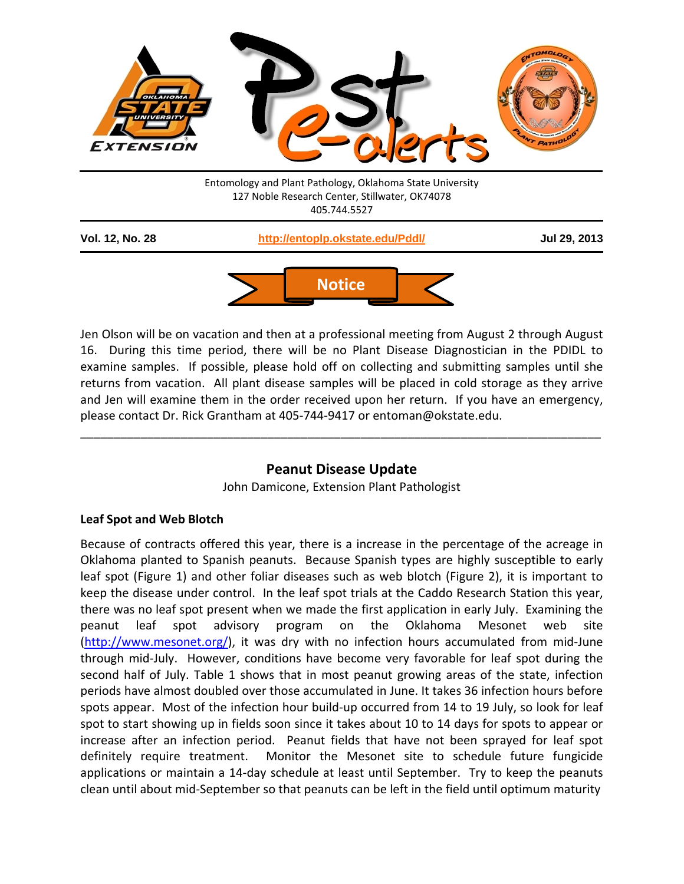



Jen Olson will be on vacation and then at a professional meeting from August 2 through August 16. During this time period, there will be no Plant Disease Diagnostician in the PDIDL to examine samples. If possible, please hold off on collecting and submitting samples until she returns from vacation. All plant disease samples will be placed in cold storage as they arrive and Jen will examine them in the order received upon her return. If you have an emergency, please contact Dr. Rick Grantham at 405-744-9417 or entoman@okstate.edu.

# **Peanut Disease Update**

\_\_\_\_\_\_\_\_\_\_\_\_\_\_\_\_\_\_\_\_\_\_\_\_\_\_\_\_\_\_\_\_\_\_\_\_\_\_\_\_\_\_\_\_\_\_\_\_\_\_\_\_\_\_\_\_\_\_\_\_\_\_\_\_\_\_\_\_\_\_\_\_\_\_\_\_\_\_

John Damicone, Extension Plant Pathologist

## **Leaf Spot and Web Blotch**

Because of contracts offered this year, there is a increase in the percentage of the acreage in Oklahoma planted to Spanish peanuts. Because Spanish types are highly susceptible to early leaf spot (Figure 1) and other foliar diseases such as web blotch (Figure 2), it is important to keep the disease under control. In the leaf spot trials at the Caddo Research Station this year, there was no leaf spot present when we made the first application in early July. Examining the peanut leaf spot advisory program on the Oklahoma Mesonet web site [\(http://www.mesonet.org/\)](http://www.mesonet.org/), it was dry with no infection hours accumulated from mid-June through mid-July. However, conditions have become very favorable for leaf spot during the second half of July. Table 1 shows that in most peanut growing areas of the state, infection periods have almost doubled over those accumulated in June. It takes 36 infection hours before spots appear. Most of the infection hour build-up occurred from 14 to 19 July, so look for leaf spot to start showing up in fields soon since it takes about 10 to 14 days for spots to appear or increase after an infection period. Peanut fields that have not been sprayed for leaf spot definitely require treatment. Monitor the Mesonet site to schedule future fungicide applications or maintain a 14-day schedule at least until September. Try to keep the peanuts clean until about mid-September so that peanuts can be left in the field until optimum maturity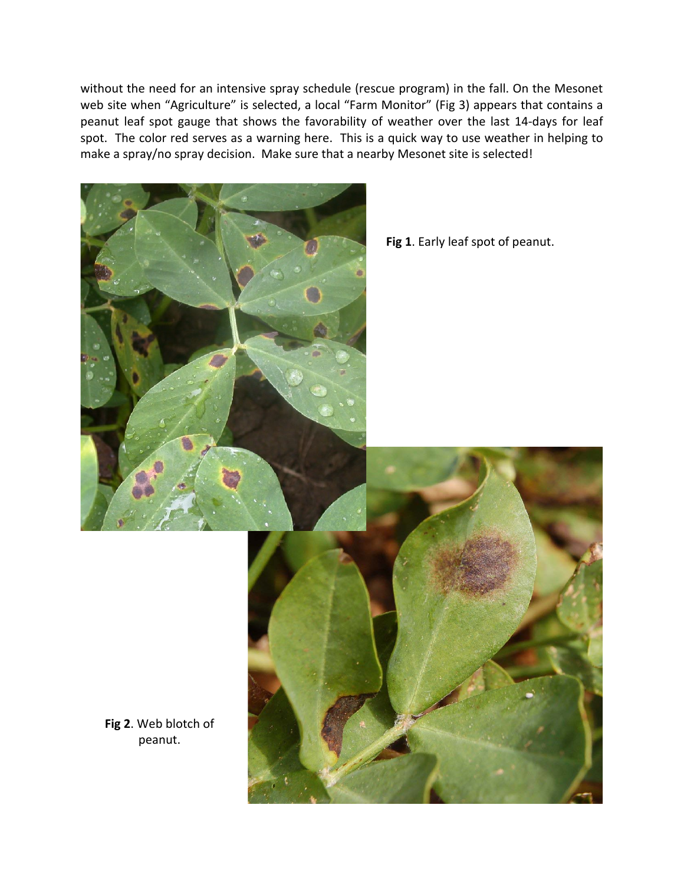without the need for an intensive spray schedule (rescue program) in the fall. On the Mesonet web site when "Agriculture" is selected, a local "Farm Monitor" (Fig 3) appears that contains a peanut leaf spot gauge that shows the favorability of weather over the last 14-days for leaf spot. The color red serves as a warning here. This is a quick way to use weather in helping to make a spray/no spray decision. Make sure that a nearby Mesonet site is selected!



**Fig 1**. Early leaf spot of peanut.



**Fig 2**. Web blotch of peanut.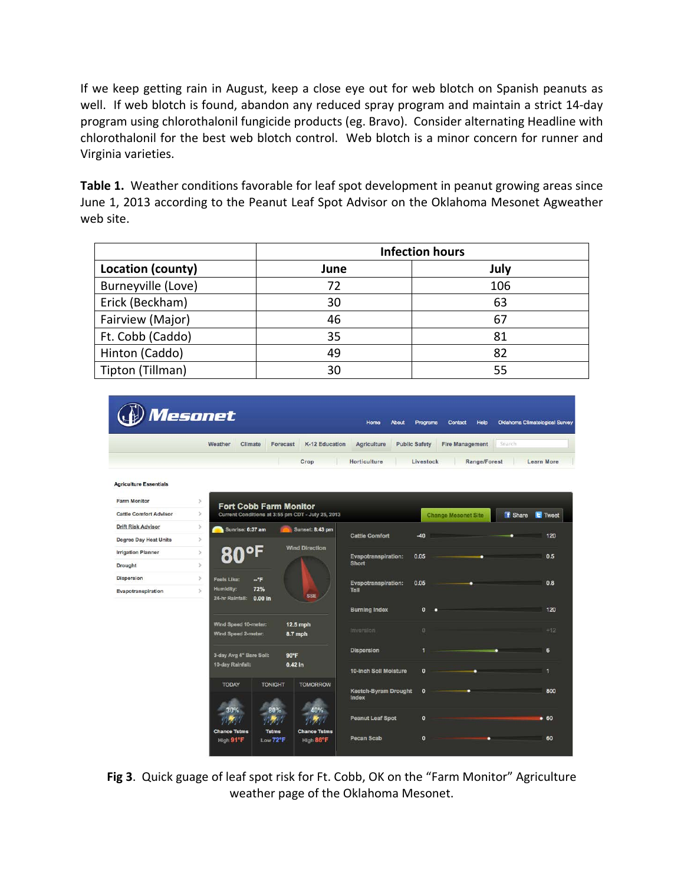If we keep getting rain in August, keep a close eye out for web blotch on Spanish peanuts as well. If web blotch is found, abandon any reduced spray program and maintain a strict 14-day program using chlorothalonil fungicide products (eg. Bravo). Consider alternating Headline with chlorothalonil for the best web blotch control. Web blotch is a minor concern for runner and Virginia varieties.

**Table 1.** Weather conditions favorable for leaf spot development in peanut growing areas since June 1, 2013 according to the Peanut Leaf Spot Advisor on the Oklahoma Mesonet Agweather web site.

|                    | <b>Infection hours</b> |      |
|--------------------|------------------------|------|
| Location (county)  | June                   | July |
| Burneyville (Love) | 72                     | 106  |
| Erick (Beckham)    | 30                     | 63   |
| Fairview (Major)   | 46                     | 67   |
| Ft. Cobb (Caddo)   | 35                     | 81   |
| Hinton (Caddo)     | 49                     | 82   |
| Tipton (Tillman)   | 30                     | 55   |



**Fig 3**. Quick guage of leaf spot risk for Ft. Cobb, OK on the "Farm Monitor" Agriculture weather page of the Oklahoma Mesonet.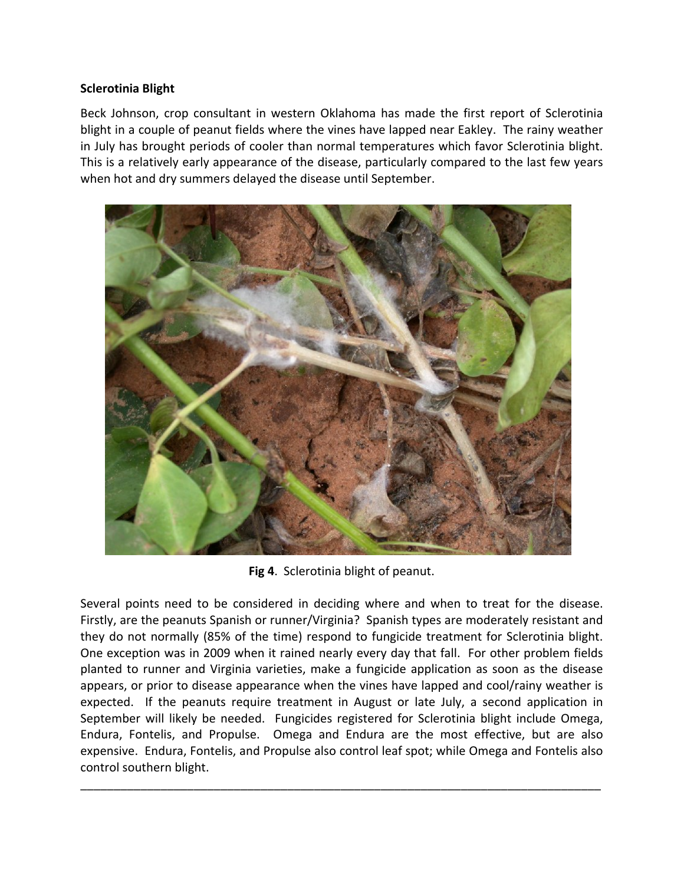## **Sclerotinia Blight**

Beck Johnson, crop consultant in western Oklahoma has made the first report of Sclerotinia blight in a couple of peanut fields where the vines have lapped near Eakley. The rainy weather in July has brought periods of cooler than normal temperatures which favor Sclerotinia blight. This is a relatively early appearance of the disease, particularly compared to the last few years when hot and dry summers delayed the disease until September.



**Fig 4**. Sclerotinia blight of peanut.

Several points need to be considered in deciding where and when to treat for the disease. Firstly, are the peanuts Spanish or runner/Virginia? Spanish types are moderately resistant and they do not normally (85% of the time) respond to fungicide treatment for Sclerotinia blight. One exception was in 2009 when it rained nearly every day that fall. For other problem fields planted to runner and Virginia varieties, make a fungicide application as soon as the disease appears, or prior to disease appearance when the vines have lapped and cool/rainy weather is expected. If the peanuts require treatment in August or late July, a second application in September will likely be needed. Fungicides registered for Sclerotinia blight include Omega, Endura, Fontelis, and Propulse. Omega and Endura are the most effective, but are also expensive. Endura, Fontelis, and Propulse also control leaf spot; while Omega and Fontelis also control southern blight.

\_\_\_\_\_\_\_\_\_\_\_\_\_\_\_\_\_\_\_\_\_\_\_\_\_\_\_\_\_\_\_\_\_\_\_\_\_\_\_\_\_\_\_\_\_\_\_\_\_\_\_\_\_\_\_\_\_\_\_\_\_\_\_\_\_\_\_\_\_\_\_\_\_\_\_\_\_\_